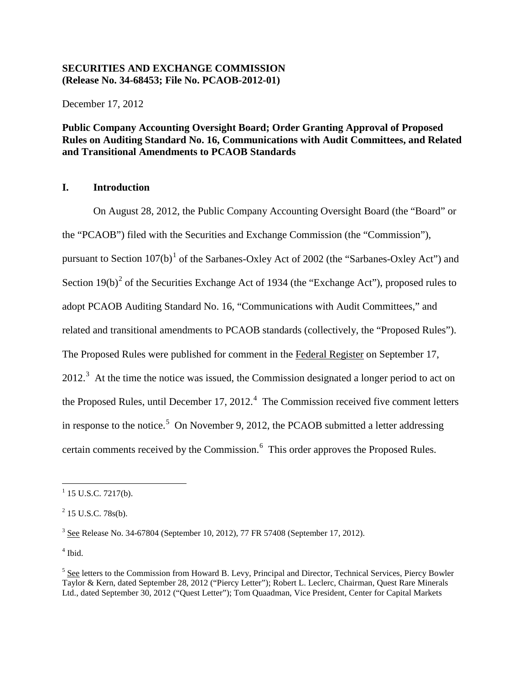# **SECURITIES AND EXCHANGE COMMISSION (Release No. 34-68453; File No. PCAOB-2012-01)**

December 17, 2012

# **Public Company Accounting Oversight Board; Order Granting Approval of Proposed Rules on Auditing Standard No. 16, Communications with Audit Committees, and Related and Transitional Amendments to PCAOB Standards**

# **I. Introduction**

On August 28, 2012, the Public Company Accounting Oversight Board (the "Board" or the "PCAOB") filed with the Securities and Exchange Commission (the "Commission"), pursuant to Section  $107(b)^1$  $107(b)^1$  of the Sarbanes-Oxley Act of 2002 (the "Sarbanes-Oxley Act") and Section  $19(b)^2$  $19(b)^2$  of the Securities Exchange Act of 1934 (the "Exchange Act"), proposed rules to adopt PCAOB Auditing Standard No. 16, "Communications with Audit Committees," and related and transitional amendments to PCAOB standards (collectively, the "Proposed Rules"). The Proposed Rules were published for comment in the Federal Register on September 17,  $2012<sup>3</sup>$  $2012<sup>3</sup>$  $2012<sup>3</sup>$  At the time the notice was issued, the Commission designated a longer period to act on the Proposed Rules, until December 17, 2012. $4$  The Commission received five comment letters in response to the notice.<sup>[5](#page-0-4)</sup> On November 9, 2012, the PCAOB submitted a letter addressing certain comments received by the Commission.<sup>[6](#page-0-5)</sup> This order approves the Proposed Rules.

<span id="page-0-5"></span><span id="page-0-3"></span> $<sup>4</sup>$  Ibid.</sup>

<span id="page-0-0"></span> $1$  15 U.S.C. 7217(b).

<span id="page-0-1"></span> $^{2}$  15 U.S.C. 78s(b).

<span id="page-0-2"></span><sup>3</sup> See Release No. 34-67804 (September 10, 2012), 77 FR 57408 (September 17, 2012).

<span id="page-0-4"></span><sup>&</sup>lt;sup>5</sup> See letters to the Commission from Howard B. Levy, Principal and Director, Technical Services, Piercy Bowler Taylor & Kern, dated September 28, 2012 ("Piercy Letter"); Robert L. Leclerc, Chairman, Quest Rare Minerals Ltd., dated September 30, 2012 ("Quest Letter"); Tom Quaadman, Vice President, Center for Capital Markets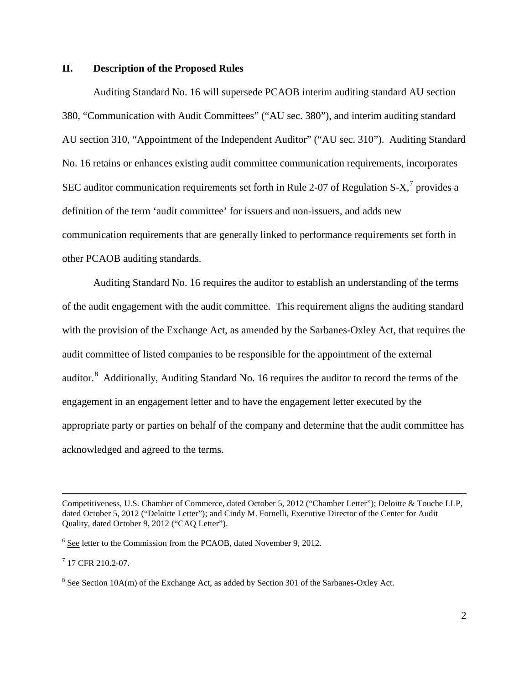### **II. Description of the Proposed Rules**

Auditing Standard No. 16 will supersede PCAOB interim auditing standard AU section 380, "Communication with Audit Committees" ("AU sec. 380"), and interim auditing standard AU section 310, "Appointment of the Independent Auditor" ("AU sec. 310"). Auditing Standard No. 16 retains or enhances existing audit committee communication requirements, incorporates SEC auditor communication requirements set forth in Rule 2-0[7](#page-1-0) of Regulation S-X,<sup>7</sup> provides a definition of the term 'audit committee' for issuers and non-issuers, and adds new communication requirements that are generally linked to performance requirements set forth in other PCAOB auditing standards.

Auditing Standard No. 16 requires the auditor to establish an understanding of the terms of the audit engagement with the audit committee. This requirement aligns the auditing standard with the provision of the Exchange Act, as amended by the Sarbanes-Oxley Act, that requires the audit committee of listed companies to be responsible for the appointment of the external auditor.<sup>[8](#page-1-1)</sup> Additionally, Auditing Standard No. 16 requires the auditor to record the terms of the engagement in an engagement letter and to have the engagement letter executed by the appropriate party or parties on behalf of the company and determine that the audit committee has acknowledged and agreed to the terms.

<span id="page-1-0"></span> $7$  17 CFR 210.2-07.

Competitiveness, U.S. Chamber of Commerce, dated October 5, 2012 ("Chamber Letter"); Deloitte & Touche LLP, dated October 5, 2012 ("Deloitte Letter"); and Cindy M. Fornelli, Executive Director of the Center for Audit Quality, dated October 9, 2012 ("CAQ Letter").

<sup>&</sup>lt;sup>6</sup> See letter to the Commission from the PCAOB, dated November 9, 2012.

<span id="page-1-1"></span><sup>&</sup>lt;sup>8</sup> See Section 10A(m) of the Exchange Act, as added by Section 301 of the Sarbanes-Oxley Act.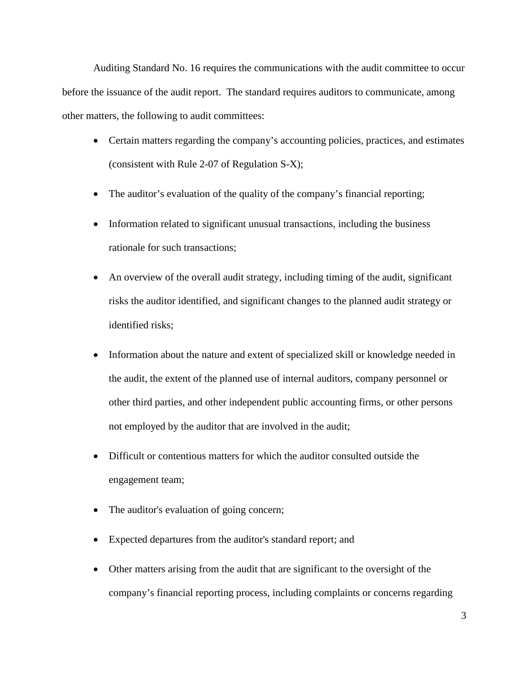Auditing Standard No. 16 requires the communications with the audit committee to occur before the issuance of the audit report. The standard requires auditors to communicate, among other matters, the following to audit committees:

- Certain matters regarding the company's accounting policies, practices, and estimates (consistent with Rule 2-07 of Regulation S-X);
- The auditor's evaluation of the quality of the company's financial reporting;
- Information related to significant unusual transactions, including the business rationale for such transactions;
- An overview of the overall audit strategy, including timing of the audit, significant risks the auditor identified, and significant changes to the planned audit strategy or identified risks;
- Information about the nature and extent of specialized skill or knowledge needed in the audit, the extent of the planned use of internal auditors, company personnel or other third parties, and other independent public accounting firms, or other persons not employed by the auditor that are involved in the audit;
- Difficult or contentious matters for which the auditor consulted outside the engagement team;
- The auditor's evaluation of going concern;
- Expected departures from the auditor's standard report; and
- Other matters arising from the audit that are significant to the oversight of the company's financial reporting process, including complaints or concerns regarding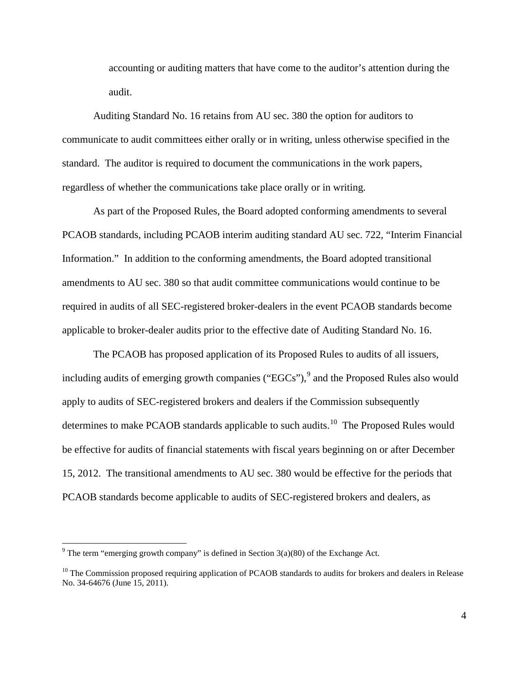accounting or auditing matters that have come to the auditor's attention during the audit.

Auditing Standard No. 16 retains from AU sec. 380 the option for auditors to communicate to audit committees either orally or in writing, unless otherwise specified in the standard. The auditor is required to document the communications in the work papers, regardless of whether the communications take place orally or in writing.

As part of the Proposed Rules, the Board adopted conforming amendments to several PCAOB standards, including PCAOB interim auditing standard AU sec. 722, "Interim Financial Information." In addition to the conforming amendments, the Board adopted transitional amendments to AU sec. 380 so that audit committee communications would continue to be required in audits of all SEC-registered broker-dealers in the event PCAOB standards become applicable to broker-dealer audits prior to the effective date of Auditing Standard No. 16.

The PCAOB has proposed application of its Proposed Rules to audits of all issuers, including audits of emerging growth companies (" $EGCs$ "),  $9$  and the Proposed Rules also would apply to audits of SEC-registered brokers and dealers if the Commission subsequently determines to make PCAOB standards applicable to such audits.<sup>[10](#page-3-1)</sup> The Proposed Rules would be effective for audits of financial statements with fiscal years beginning on or after December 15, 2012. The transitional amendments to AU sec. 380 would be effective for the periods that PCAOB standards become applicable to audits of SEC-registered brokers and dealers, as

<span id="page-3-0"></span><sup>&</sup>lt;sup>9</sup> The term "emerging growth company" is defined in Section  $3(a)(80)$  of the Exchange Act.

<span id="page-3-1"></span> $10$  The Commission proposed requiring application of PCAOB standards to audits for brokers and dealers in Release No. 34-64676 (June 15, 2011).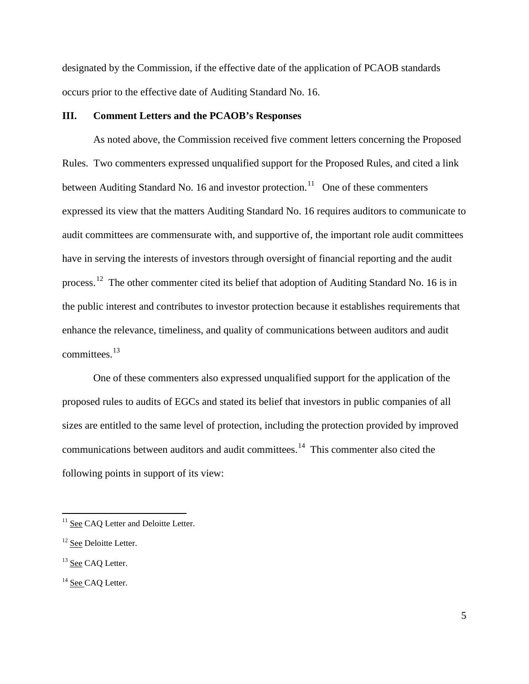designated by the Commission, if the effective date of the application of PCAOB standards occurs prior to the effective date of Auditing Standard No. 16.

### **III. Comment Letters and the PCAOB's Responses**

As noted above, the Commission received five comment letters concerning the Proposed Rules. Two commenters expressed unqualified support for the Proposed Rules, and cited a link between Auditing Standard No. 16 and investor protection.<sup>[11](#page-4-0)</sup> One of these commenters expressed its view that the matters Auditing Standard No. 16 requires auditors to communicate to audit committees are commensurate with, and supportive of, the important role audit committees have in serving the interests of investors through oversight of financial reporting and the audit process.<sup>12</sup> The other commenter cited its belief that adoption of Auditing Standard No. 16 is in the public interest and contributes to investor protection because it establishes requirements that enhance the relevance, timeliness, and quality of communications between auditors and audit committees.[13](#page-4-2) 

One of these commenters also expressed unqualified support for the application of the proposed rules to audits of EGCs and stated its belief that investors in public companies of all sizes are entitled to the same level of protection, including the protection provided by improved communications between auditors and audit committees. [14](#page-4-3) This commenter also cited the following points in support of its view:

<span id="page-4-0"></span><sup>&</sup>lt;sup>11</sup> See CAQ Letter and Deloitte Letter.

<span id="page-4-1"></span><sup>&</sup>lt;sup>12</sup> See Deloitte Letter.

<span id="page-4-2"></span><sup>&</sup>lt;sup>13</sup> See CAQ Letter.

<span id="page-4-3"></span><sup>&</sup>lt;sup>14</sup> See CAO Letter.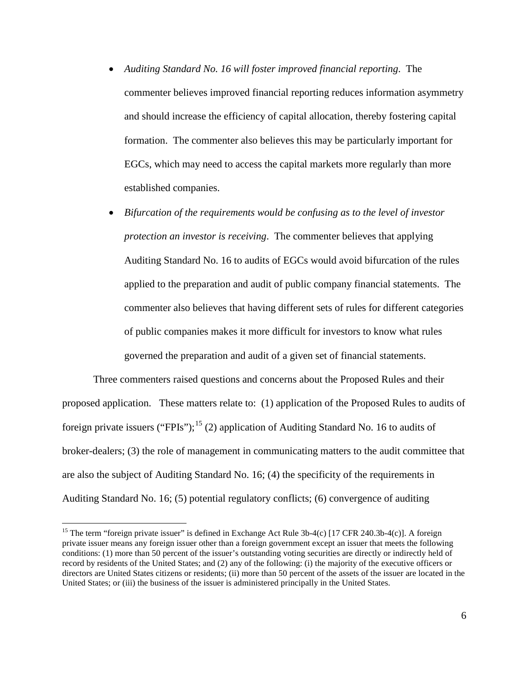- *Auditing Standard No. 16 will foster improved financial reporting*. The commenter believes improved financial reporting reduces information asymmetry and should increase the efficiency of capital allocation, thereby fostering capital formation. The commenter also believes this may be particularly important for EGCs, which may need to access the capital markets more regularly than more established companies.
- *Bifurcation of the requirements would be confusing as to the level of investor protection an investor is receiving*. The commenter believes that applying Auditing Standard No. 16 to audits of EGCs would avoid bifurcation of the rules applied to the preparation and audit of public company financial statements. The commenter also believes that having different sets of rules for different categories of public companies makes it more difficult for investors to know what rules governed the preparation and audit of a given set of financial statements.

Three commenters raised questions and concerns about the Proposed Rules and their proposed application. These matters relate to: (1) application of the Proposed Rules to audits of foreign private issuers ("FPIs");<sup>[15](#page-5-0)</sup> (2) application of Auditing Standard No. 16 to audits of broker-dealers; (3) the role of management in communicating matters to the audit committee that are also the subject of Auditing Standard No. 16; (4) the specificity of the requirements in Auditing Standard No. 16; (5) potential regulatory conflicts; (6) convergence of auditing

<span id="page-5-0"></span><sup>&</sup>lt;sup>15</sup> The term "foreign private issuer" is defined in Exchange Act Rule 3b-4(c) [17 CFR 240.3b-4(c)]. A foreign private issuer means any foreign issuer other than a foreign government except an issuer that meets the following conditions: (1) more than 50 percent of the issuer's outstanding voting securities are directly or indirectly held of record by residents of the United States; and (2) any of the following: (i) the majority of the executive officers or directors are United States citizens or residents; (ii) more than 50 percent of the assets of the issuer are located in the United States; or (iii) the business of the issuer is administered principally in the United States.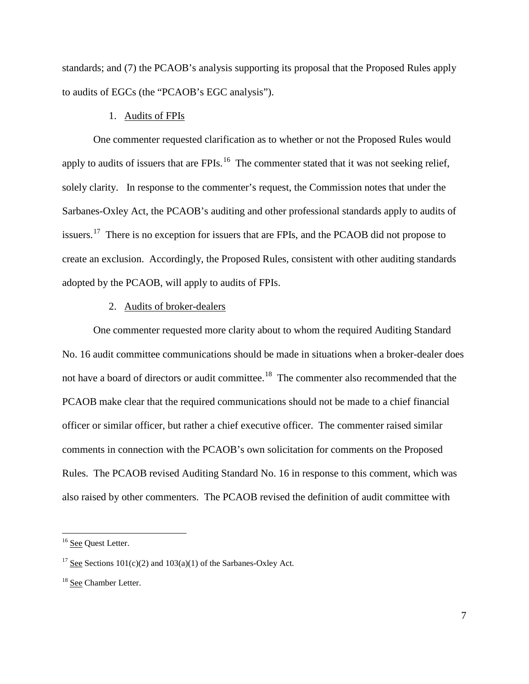standards; and (7) the PCAOB's analysis supporting its proposal that the Proposed Rules apply to audits of EGCs (the "PCAOB's EGC analysis").

### 1. Audits of FPIs

One commenter requested clarification as to whether or not the Proposed Rules would apply to audits of issuers that are  $FPIs<sup>16</sup>$ . The commenter stated that it was not seeking relief, solely clarity. In response to the commenter's request, the Commission notes that under the Sarbanes-Oxley Act, the PCAOB's auditing and other professional standards apply to audits of issuers.<sup>[17](#page-6-1)</sup> There is no exception for issuers that are FPIs, and the PCAOB did not propose to create an exclusion. Accordingly, the Proposed Rules, consistent with other auditing standards adopted by the PCAOB, will apply to audits of FPIs.

#### 2. Audits of broker-dealers

One commenter requested more clarity about to whom the required Auditing Standard No. 16 audit committee communications should be made in situations when a broker-dealer does not have a board of directors or audit committee.<sup>[18](#page-6-2)</sup> The commenter also recommended that the PCAOB make clear that the required communications should not be made to a chief financial officer or similar officer, but rather a chief executive officer. The commenter raised similar comments in connection with the PCAOB's own solicitation for comments on the Proposed Rules. The PCAOB revised Auditing Standard No. 16 in response to this comment, which was also raised by other commenters. The PCAOB revised the definition of audit committee with

<span id="page-6-0"></span><sup>&</sup>lt;sup>16</sup> See Quest Letter.

<span id="page-6-1"></span><sup>&</sup>lt;sup>17</sup> See Sections  $101(c)(2)$  and  $103(a)(1)$  of the Sarbanes-Oxley Act.

<span id="page-6-2"></span><sup>&</sup>lt;sup>18</sup> See Chamber Letter.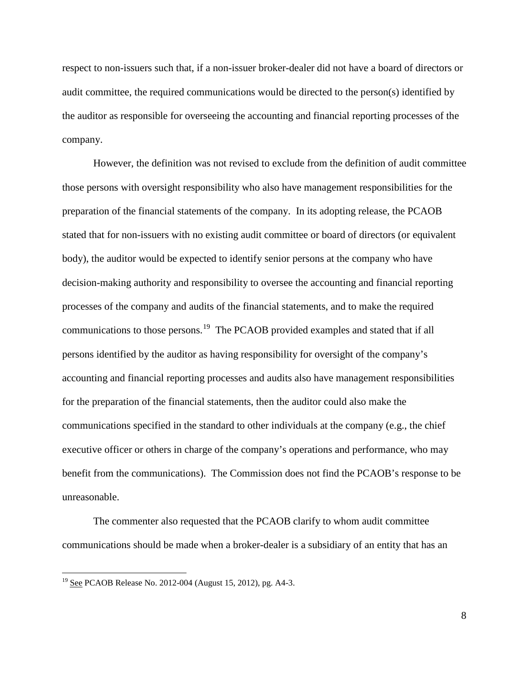respect to non-issuers such that, if a non-issuer broker-dealer did not have a board of directors or audit committee, the required communications would be directed to the person(s) identified by the auditor as responsible for overseeing the accounting and financial reporting processes of the company.

However, the definition was not revised to exclude from the definition of audit committee those persons with oversight responsibility who also have management responsibilities for the preparation of the financial statements of the company. In its adopting release, the PCAOB stated that for non-issuers with no existing audit committee or board of directors (or equivalent body), the auditor would be expected to identify senior persons at the company who have decision-making authority and responsibility to oversee the accounting and financial reporting processes of the company and audits of the financial statements, and to make the required communications to those persons.<sup>[19](#page-7-0)</sup> The PCAOB provided examples and stated that if all persons identified by the auditor as having responsibility for oversight of the company's accounting and financial reporting processes and audits also have management responsibilities for the preparation of the financial statements, then the auditor could also make the communications specified in the standard to other individuals at the company (e.g., the chief executive officer or others in charge of the company's operations and performance, who may benefit from the communications). The Commission does not find the PCAOB's response to be unreasonable.

The commenter also requested that the PCAOB clarify to whom audit committee communications should be made when a broker-dealer is a subsidiary of an entity that has an

<span id="page-7-0"></span> $19$  See PCAOB Release No. 2012-004 (August 15, 2012), pg. A4-3.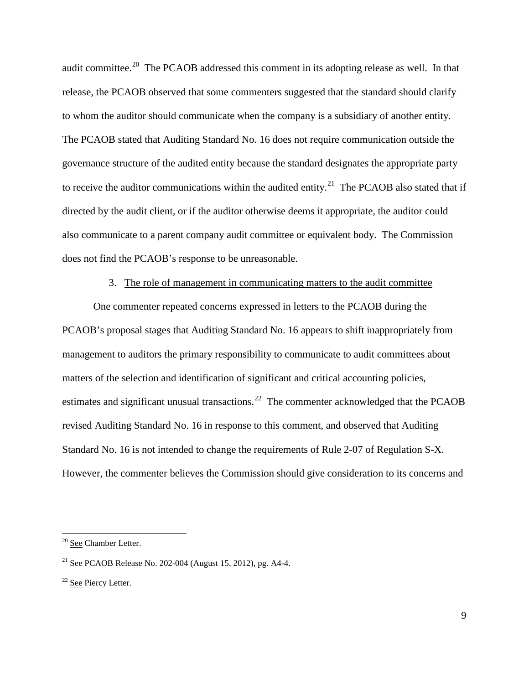audit committee.<sup>[20](#page-8-0)</sup> The PCAOB addressed this comment in its adopting release as well. In that release, the PCAOB observed that some commenters suggested that the standard should clarify to whom the auditor should communicate when the company is a subsidiary of another entity. The PCAOB stated that Auditing Standard No. 16 does not require communication outside the governance structure of the audited entity because the standard designates the appropriate party to receive the auditor communications within the audited entity.<sup>[21](#page-8-1)</sup> The PCAOB also stated that if directed by the audit client, or if the auditor otherwise deems it appropriate, the auditor could also communicate to a parent company audit committee or equivalent body. The Commission does not find the PCAOB's response to be unreasonable.

### 3. The role of management in communicating matters to the audit committee

One commenter repeated concerns expressed in letters to the PCAOB during the PCAOB's proposal stages that Auditing Standard No. 16 appears to shift inappropriately from management to auditors the primary responsibility to communicate to audit committees about matters of the selection and identification of significant and critical accounting policies, estimates and significant unusual transactions.<sup>[22](#page-8-2)</sup> The commenter acknowledged that the PCAOB revised Auditing Standard No. 16 in response to this comment, and observed that Auditing Standard No. 16 is not intended to change the requirements of Rule 2-07 of Regulation S-X. However, the commenter believes the Commission should give consideration to its concerns and

<span id="page-8-0"></span> <sup>20</sup> See Chamber Letter.

<span id="page-8-1"></span><sup>&</sup>lt;sup>21</sup> See PCAOB Release No. 202-004 (August 15, 2012), pg. A4-4.

<span id="page-8-2"></span><sup>&</sup>lt;sup>22</sup> See Piercy Letter.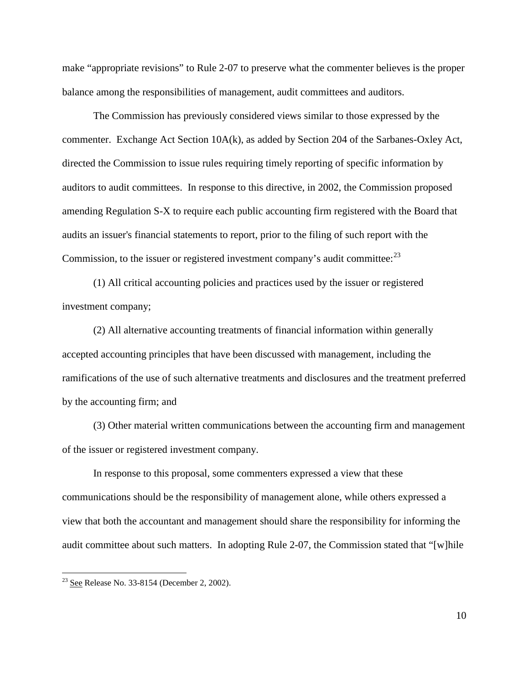make "appropriate revisions" to Rule 2-07 to preserve what the commenter believes is the proper balance among the responsibilities of management, audit committees and auditors.

The Commission has previously considered views similar to those expressed by the commenter. Exchange Act Section 10A(k), as added by Section 204 of the Sarbanes-Oxley Act, directed the Commission to issue rules requiring timely reporting of specific information by auditors to audit committees. In response to this directive, in 2002, the Commission proposed amending Regulation S-X to require each public accounting firm registered with the Board that audits an issuer's financial statements to report, prior to the filing of such report with the Commission, to the issuer or registered investment company's audit committee:  $^{23}$  $^{23}$  $^{23}$ 

(1) All critical accounting policies and practices used by the issuer or registered investment company;

(2) All alternative accounting treatments of financial information within generally accepted accounting principles that have been discussed with management, including the ramifications of the use of such alternative treatments and disclosures and the treatment preferred by the accounting firm; and

(3) Other material written communications between the accounting firm and management of the issuer or registered investment company.

In response to this proposal, some commenters expressed a view that these communications should be the responsibility of management alone, while others expressed a view that both the accountant and management should share the responsibility for informing the audit committee about such matters. In adopting Rule 2-07, the Commission stated that "[w]hile

<span id="page-9-0"></span> $23$  See Release No. 33-8154 (December 2, 2002).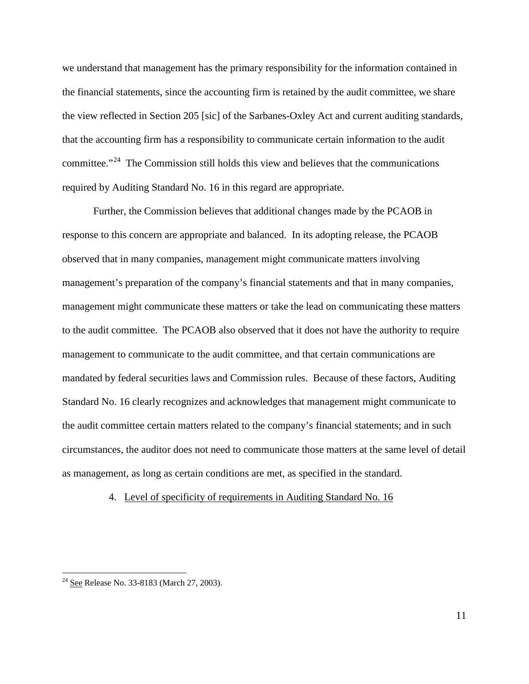we understand that management has the primary responsibility for the information contained in the financial statements, since the accounting firm is retained by the audit committee, we share the view reflected in Section 205 [sic] of the Sarbanes-Oxley Act and current auditing standards, that the accounting firm has a responsibility to communicate certain information to the audit committee."<sup>24</sup> The Commission still holds this view and believes that the communications required by Auditing Standard No. 16 in this regard are appropriate.

Further, the Commission believes that additional changes made by the PCAOB in response to this concern are appropriate and balanced. In its adopting release, the PCAOB observed that in many companies, management might communicate matters involving management's preparation of the company's financial statements and that in many companies, management might communicate these matters or take the lead on communicating these matters to the audit committee. The PCAOB also observed that it does not have the authority to require management to communicate to the audit committee, and that certain communications are mandated by federal securities laws and Commission rules. Because of these factors, Auditing Standard No. 16 clearly recognizes and acknowledges that management might communicate to the audit committee certain matters related to the company's financial statements; and in such circumstances, the auditor does not need to communicate those matters at the same level of detail as management, as long as certain conditions are met, as specified in the standard.

#### 4. Level of specificity of requirements in Auditing Standard No. 16

<span id="page-10-0"></span><sup>&</sup>lt;sup>24</sup> See Release No. 33-8183 (March 27, 2003).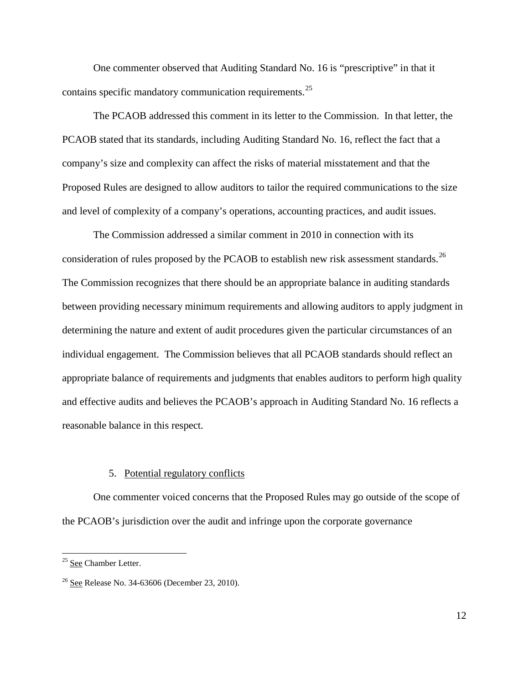One commenter observed that Auditing Standard No. 16 is "prescriptive" in that it contains specific mandatory communication requirements.<sup>25</sup>

The PCAOB addressed this comment in its letter to the Commission. In that letter, the PCAOB stated that its standards, including Auditing Standard No. 16, reflect the fact that a company's size and complexity can affect the risks of material misstatement and that the Proposed Rules are designed to allow auditors to tailor the required communications to the size and level of complexity of a company's operations, accounting practices, and audit issues.

The Commission addressed a similar comment in 2010 in connection with its consideration of rules proposed by the PCAOB to establish new risk assessment standards.<sup>[26](#page-11-1)</sup> The Commission recognizes that there should be an appropriate balance in auditing standards between providing necessary minimum requirements and allowing auditors to apply judgment in determining the nature and extent of audit procedures given the particular circumstances of an individual engagement. The Commission believes that all PCAOB standards should reflect an appropriate balance of requirements and judgments that enables auditors to perform high quality and effective audits and believes the PCAOB's approach in Auditing Standard No. 16 reflects a reasonable balance in this respect.

### 5. Potential regulatory conflicts

One commenter voiced concerns that the Proposed Rules may go outside of the scope of the PCAOB's jurisdiction over the audit and infringe upon the corporate governance

<span id="page-11-0"></span><sup>&</sup>lt;sup>25</sup> See Chamber Letter.

<span id="page-11-1"></span> $26$  See Release No. 34-63606 (December 23, 2010).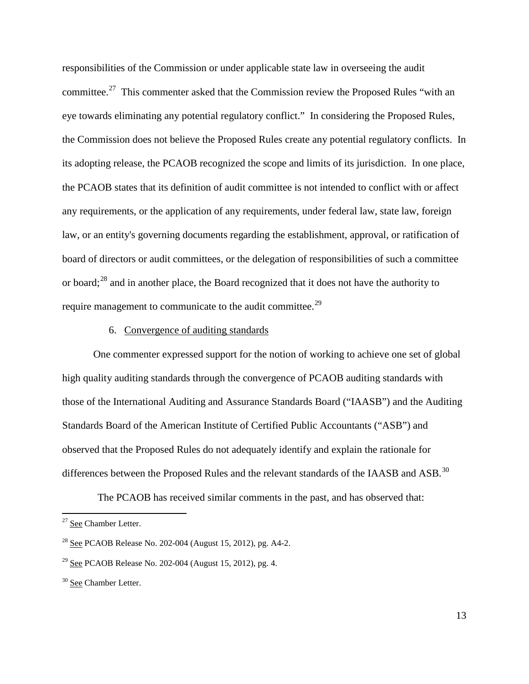responsibilities of the Commission or under applicable state law in overseeing the audit committee.[27](#page-12-0) This commenter asked that the Commission review the Proposed Rules "with an eye towards eliminating any potential regulatory conflict." In considering the Proposed Rules, the Commission does not believe the Proposed Rules create any potential regulatory conflicts. In its adopting release, the PCAOB recognized the scope and limits of its jurisdiction. In one place, the PCAOB states that its definition of audit committee is not intended to conflict with or affect any requirements, or the application of any requirements, under federal law, state law, foreign law, or an entity's governing documents regarding the establishment, approval, or ratification of board of directors or audit committees, or the delegation of responsibilities of such a committee or board;[28](#page-12-1) and in another place, the Board recognized that it does not have the authority to require management to communicate to the audit committee.<sup>[29](#page-12-2)</sup>

### 6. Convergence of auditing standards

One commenter expressed support for the notion of working to achieve one set of global high quality auditing standards through the convergence of PCAOB auditing standards with those of the International Auditing and Assurance Standards Board ("IAASB") and the Auditing Standards Board of the American Institute of Certified Public Accountants ("ASB") and observed that the Proposed Rules do not adequately identify and explain the rationale for differences between the Proposed Rules and the relevant standards of the IAASB and ASB.<sup>30</sup>

The PCAOB has received similar comments in the past, and has observed that:

<span id="page-12-0"></span><sup>&</sup>lt;sup>27</sup> See Chamber Letter.

<span id="page-12-1"></span><sup>&</sup>lt;sup>28</sup> See PCAOB Release No. 202-004 (August 15, 2012), pg. A4-2.

<span id="page-12-2"></span><sup>&</sup>lt;sup>29</sup> See PCAOB Release No. 202-004 (August 15, 2012), pg. 4.

<span id="page-12-3"></span><sup>&</sup>lt;sup>30</sup> See Chamber Letter.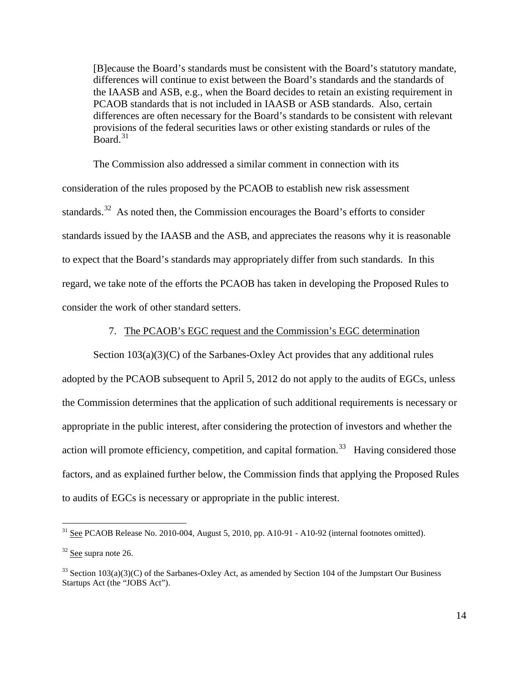[B]ecause the Board's standards must be consistent with the Board's statutory mandate, differences will continue to exist between the Board's standards and the standards of the IAASB and ASB, e.g., when the Board decides to retain an existing requirement in PCAOB standards that is not included in IAASB or ASB standards. Also, certain differences are often necessary for the Board's standards to be consistent with relevant provisions of the federal securities laws or other existing standards or rules of the  $B$ oard.<sup>[31](#page-13-0)</sup>

The Commission also addressed a similar comment in connection with its consideration of the rules proposed by the PCAOB to establish new risk assessment standards.<sup>[32](#page-13-1)</sup> As noted then, the Commission encourages the Board's efforts to consider standards issued by the IAASB and the ASB, and appreciates the reasons why it is reasonable to expect that the Board's standards may appropriately differ from such standards. In this regard, we take note of the efforts the PCAOB has taken in developing the Proposed Rules to consider the work of other standard setters.

#### 7. The PCAOB's EGC request and the Commission's EGC determination

Section  $103(a)(3)(C)$  of the Sarbanes-Oxley Act provides that any additional rules adopted by the PCAOB subsequent to April 5, 2012 do not apply to the audits of EGCs, unless the Commission determines that the application of such additional requirements is necessary or appropriate in the public interest, after considering the protection of investors and whether the action will promote efficiency, competition, and capital formation.<sup>33</sup> Having considered those factors, and as explained further below, the Commission finds that applying the Proposed Rules to audits of EGCs is necessary or appropriate in the public interest.

<span id="page-13-0"></span> $31$  See PCAOB Release No. 2010-004, August 5, 2010, pp. A10-91 - A10-92 (internal footnotes omitted).

<span id="page-13-1"></span><sup>32</sup> See supra note 26.

<span id="page-13-2"></span> $33$  Section 103(a)(3)(C) of the Sarbanes-Oxley Act, as amended by Section 104 of the Jumpstart Our Business Startups Act (the "JOBS Act").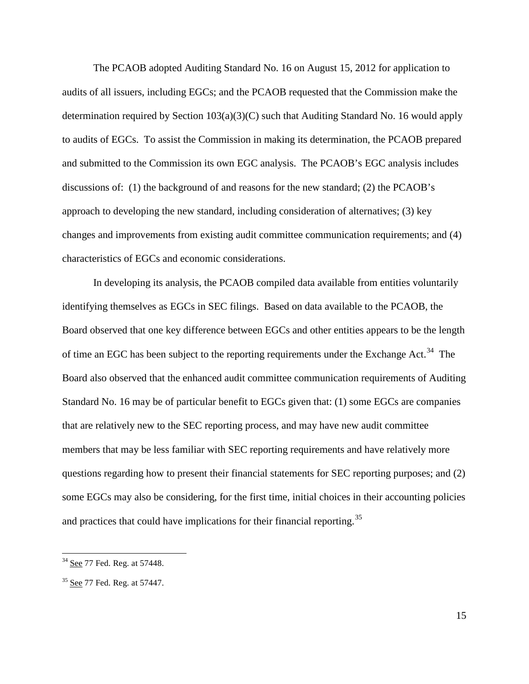The PCAOB adopted Auditing Standard No. 16 on August 15, 2012 for application to audits of all issuers, including EGCs; and the PCAOB requested that the Commission make the determination required by Section  $103(a)(3)(C)$  such that Auditing Standard No. 16 would apply to audits of EGCs. To assist the Commission in making its determination, the PCAOB prepared and submitted to the Commission its own EGC analysis. The PCAOB's EGC analysis includes discussions of: (1) the background of and reasons for the new standard; (2) the PCAOB's approach to developing the new standard, including consideration of alternatives; (3) key changes and improvements from existing audit committee communication requirements; and (4) characteristics of EGCs and economic considerations.

In developing its analysis, the PCAOB compiled data available from entities voluntarily identifying themselves as EGCs in SEC filings. Based on data available to the PCAOB, the Board observed that one key difference between EGCs and other entities appears to be the length of time an EGC has been subject to the reporting requirements under the Exchange Act.<sup>[34](#page-14-0)</sup> The Board also observed that the enhanced audit committee communication requirements of Auditing Standard No. 16 may be of particular benefit to EGCs given that: (1) some EGCs are companies that are relatively new to the SEC reporting process, and may have new audit committee members that may be less familiar with SEC reporting requirements and have relatively more questions regarding how to present their financial statements for SEC reporting purposes; and (2) some EGCs may also be considering, for the first time, initial choices in their accounting policies and practices that could have implications for their financial reporting.<sup>[35](#page-14-1)</sup>

<span id="page-14-0"></span> <sup>34</sup> See 77 Fed. Reg. at 57448.

<span id="page-14-1"></span><sup>&</sup>lt;sup>35</sup> See 77 Fed. Reg. at 57447.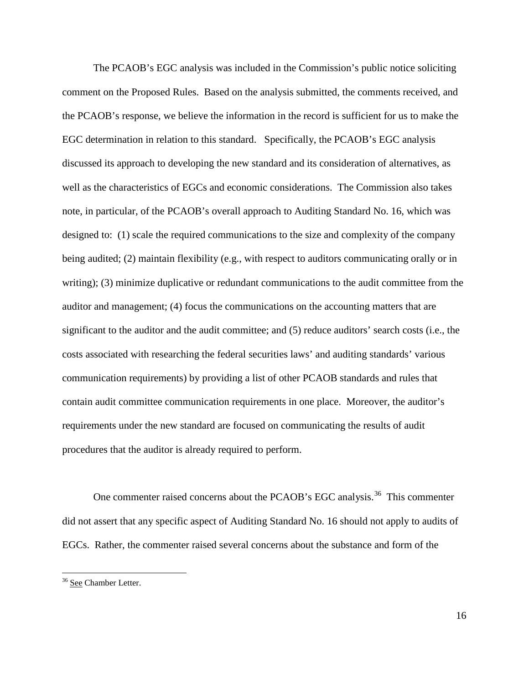The PCAOB's EGC analysis was included in the Commission's public notice soliciting comment on the Proposed Rules. Based on the analysis submitted, the comments received, and the PCAOB's response, we believe the information in the record is sufficient for us to make the EGC determination in relation to this standard. Specifically, the PCAOB's EGC analysis discussed its approach to developing the new standard and its consideration of alternatives, as well as the characteristics of EGCs and economic considerations. The Commission also takes note, in particular, of the PCAOB's overall approach to Auditing Standard No. 16, which was designed to: (1) scale the required communications to the size and complexity of the company being audited; (2) maintain flexibility (e.g., with respect to auditors communicating orally or in writing); (3) minimize duplicative or redundant communications to the audit committee from the auditor and management; (4) focus the communications on the accounting matters that are significant to the auditor and the audit committee; and (5) reduce auditors' search costs (i.e., the costs associated with researching the federal securities laws' and auditing standards' various communication requirements) by providing a list of other PCAOB standards and rules that contain audit committee communication requirements in one place. Moreover, the auditor's requirements under the new standard are focused on communicating the results of audit procedures that the auditor is already required to perform.

One commenter raised concerns about the PCAOB's EGC analysis.<sup>36</sup> This commenter did not assert that any specific aspect of Auditing Standard No. 16 should not apply to audits of EGCs. Rather, the commenter raised several concerns about the substance and form of the

<span id="page-15-0"></span><sup>&</sup>lt;sup>36</sup> See Chamber Letter.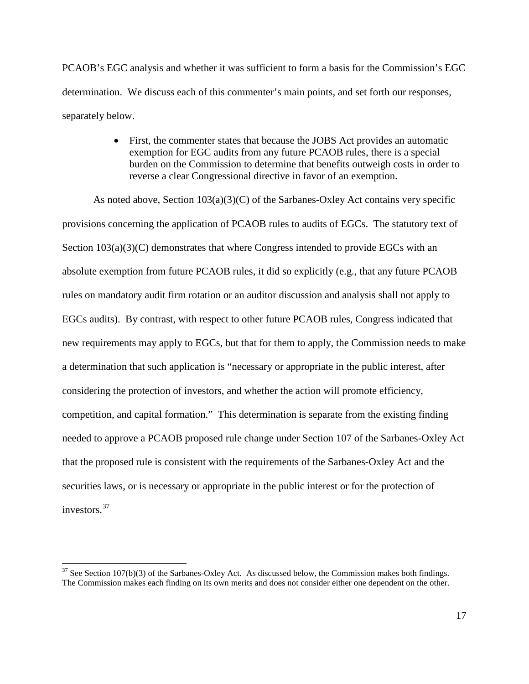PCAOB's EGC analysis and whether it was sufficient to form a basis for the Commission's EGC determination. We discuss each of this commenter's main points, and set forth our responses, separately below.

> • First, the commenter states that because the JOBS Act provides an automatic exemption for EGC audits from any future PCAOB rules, there is a special burden on the Commission to determine that benefits outweigh costs in order to reverse a clear Congressional directive in favor of an exemption.

As noted above, Section  $103(a)(3)(C)$  of the Sarbanes-Oxley Act contains very specific provisions concerning the application of PCAOB rules to audits of EGCs. The statutory text of Section  $103(a)(3)(C)$  demonstrates that where Congress intended to provide EGCs with an absolute exemption from future PCAOB rules, it did so explicitly (e.g., that any future PCAOB rules on mandatory audit firm rotation or an auditor discussion and analysis shall not apply to EGCs audits). By contrast, with respect to other future PCAOB rules, Congress indicated that new requirements may apply to EGCs, but that for them to apply, the Commission needs to make a determination that such application is "necessary or appropriate in the public interest, after considering the protection of investors, and whether the action will promote efficiency, competition, and capital formation." This determination is separate from the existing finding needed to approve a PCAOB proposed rule change under Section 107 of the Sarbanes-Oxley Act that the proposed rule is consistent with the requirements of the Sarbanes-Oxley Act and the securities laws, or is necessary or appropriate in the public interest or for the protection of investors<sup>37</sup>

<span id="page-16-0"></span><sup>&</sup>lt;sup>37</sup> See Section 107(b)(3) of the Sarbanes-Oxley Act. As discussed below, the Commission makes both findings. The Commission makes each finding on its own merits and does not consider either one dependent on the other.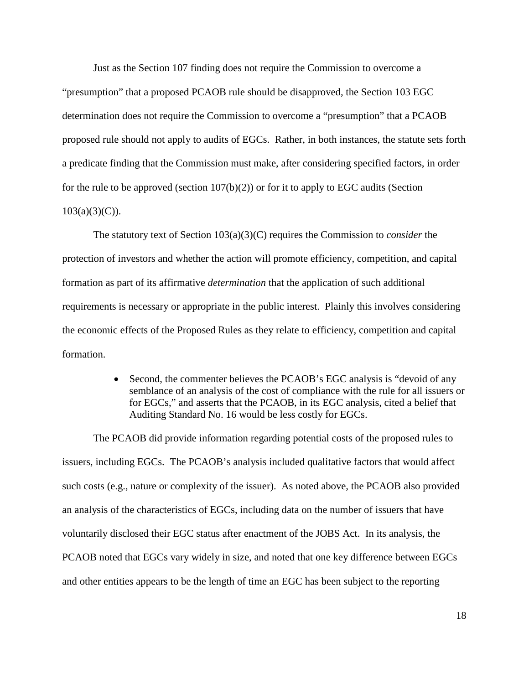Just as the Section 107 finding does not require the Commission to overcome a

"presumption" that a proposed PCAOB rule should be disapproved, the Section 103 EGC determination does not require the Commission to overcome a "presumption" that a PCAOB proposed rule should not apply to audits of EGCs. Rather, in both instances, the statute sets forth a predicate finding that the Commission must make, after considering specified factors, in order for the rule to be approved (section  $107(b)(2)$ ) or for it to apply to EGC audits (Section  $103(a)(3)(C)$ ).

The statutory text of Section 103(a)(3)(C) requires the Commission to *consider* the protection of investors and whether the action will promote efficiency, competition, and capital formation as part of its affirmative *determination* that the application of such additional requirements is necessary or appropriate in the public interest. Plainly this involves considering the economic effects of the Proposed Rules as they relate to efficiency, competition and capital formation.

> • Second, the commenter believes the PCAOB's EGC analysis is "devoid of any semblance of an analysis of the cost of compliance with the rule for all issuers or for EGCs," and asserts that the PCAOB, in its EGC analysis, cited a belief that Auditing Standard No. 16 would be less costly for EGCs.

The PCAOB did provide information regarding potential costs of the proposed rules to issuers, including EGCs. The PCAOB's analysis included qualitative factors that would affect such costs (e.g., nature or complexity of the issuer). As noted above, the PCAOB also provided an analysis of the characteristics of EGCs, including data on the number of issuers that have voluntarily disclosed their EGC status after enactment of the JOBS Act. In its analysis, the PCAOB noted that EGCs vary widely in size, and noted that one key difference between EGCs and other entities appears to be the length of time an EGC has been subject to the reporting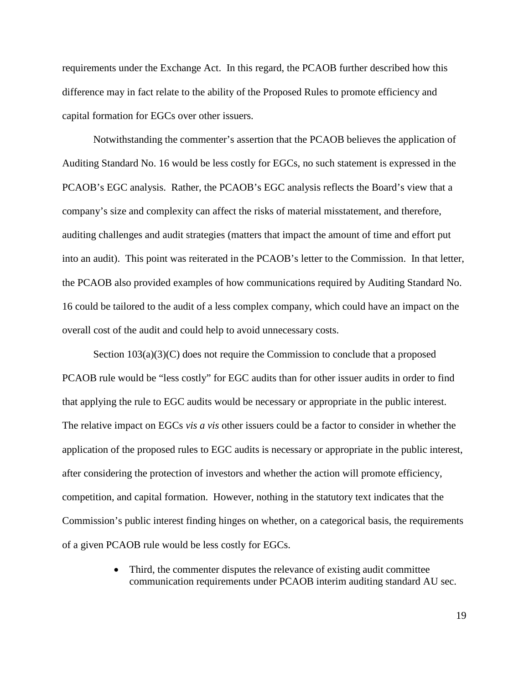requirements under the Exchange Act. In this regard, the PCAOB further described how this difference may in fact relate to the ability of the Proposed Rules to promote efficiency and capital formation for EGCs over other issuers.

Notwithstanding the commenter's assertion that the PCAOB believes the application of Auditing Standard No. 16 would be less costly for EGCs, no such statement is expressed in the PCAOB's EGC analysis. Rather, the PCAOB's EGC analysis reflects the Board's view that a company's size and complexity can affect the risks of material misstatement, and therefore, auditing challenges and audit strategies (matters that impact the amount of time and effort put into an audit). This point was reiterated in the PCAOB's letter to the Commission. In that letter, the PCAOB also provided examples of how communications required by Auditing Standard No. 16 could be tailored to the audit of a less complex company, which could have an impact on the overall cost of the audit and could help to avoid unnecessary costs.

Section  $103(a)(3)(C)$  does not require the Commission to conclude that a proposed PCAOB rule would be "less costly" for EGC audits than for other issuer audits in order to find that applying the rule to EGC audits would be necessary or appropriate in the public interest. The relative impact on EGCs *vis a vis* other issuers could be a factor to consider in whether the application of the proposed rules to EGC audits is necessary or appropriate in the public interest, after considering the protection of investors and whether the action will promote efficiency, competition, and capital formation. However, nothing in the statutory text indicates that the Commission's public interest finding hinges on whether, on a categorical basis, the requirements of a given PCAOB rule would be less costly for EGCs.

> • Third, the commenter disputes the relevance of existing audit committee communication requirements under PCAOB interim auditing standard AU sec.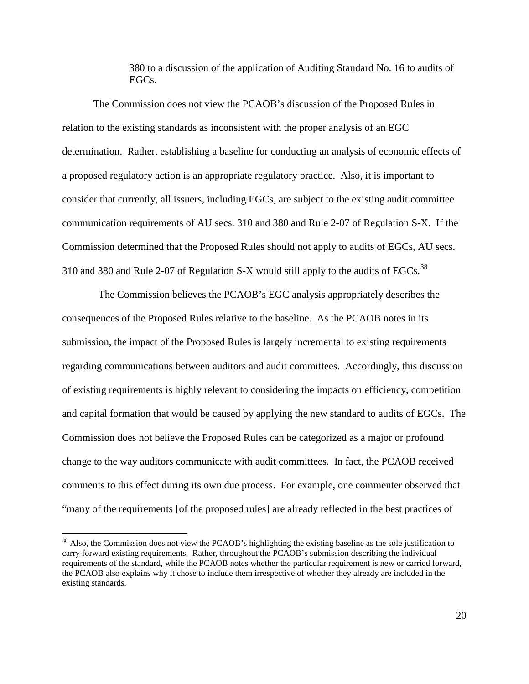380 to a discussion of the application of Auditing Standard No. 16 to audits of EGCs.

The Commission does not view the PCAOB's discussion of the Proposed Rules in relation to the existing standards as inconsistent with the proper analysis of an EGC determination. Rather, establishing a baseline for conducting an analysis of economic effects of a proposed regulatory action is an appropriate regulatory practice. Also, it is important to consider that currently, all issuers, including EGCs, are subject to the existing audit committee communication requirements of AU secs. 310 and 380 and Rule 2-07 of Regulation S-X. If the Commission determined that the Proposed Rules should not apply to audits of EGCs, AU secs. 310 and [38](#page-19-0)0 and Rule 2-07 of Regulation S-X would still apply to the audits of EGCs.<sup>38</sup>

 The Commission believes the PCAOB's EGC analysis appropriately describes the consequences of the Proposed Rules relative to the baseline. As the PCAOB notes in its submission, the impact of the Proposed Rules is largely incremental to existing requirements regarding communications between auditors and audit committees. Accordingly, this discussion of existing requirements is highly relevant to considering the impacts on efficiency, competition and capital formation that would be caused by applying the new standard to audits of EGCs. The Commission does not believe the Proposed Rules can be categorized as a major or profound change to the way auditors communicate with audit committees. In fact, the PCAOB received comments to this effect during its own due process. For example, one commenter observed that "many of the requirements [of the proposed rules] are already reflected in the best practices of

<span id="page-19-0"></span><sup>&</sup>lt;sup>38</sup> Also, the Commission does not view the PCAOB's highlighting the existing baseline as the sole justification to carry forward existing requirements. Rather, throughout the PCAOB's submission describing the individual requirements of the standard, while the PCAOB notes whether the particular requirement is new or carried forward, the PCAOB also explains why it chose to include them irrespective of whether they already are included in the existing standards.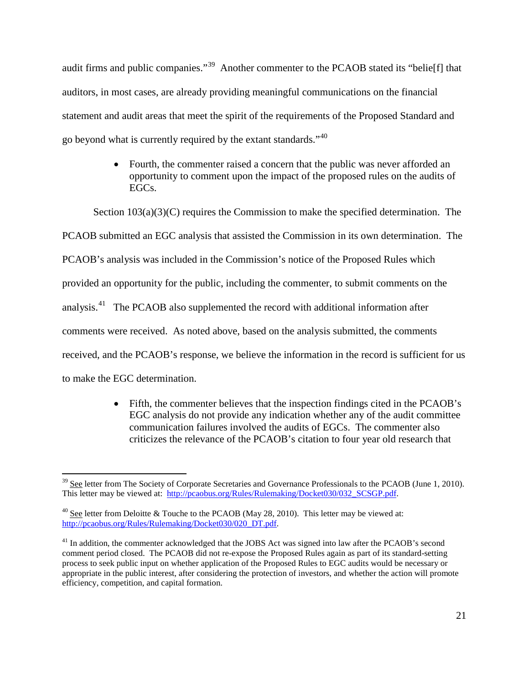audit firms and public companies."<sup>[39](#page-20-0)</sup> Another commenter to the PCAOB stated its "belieffl that auditors, in most cases, are already providing meaningful communications on the financial statement and audit areas that meet the spirit of the requirements of the Proposed Standard and go beyond what is currently required by the extant standards."[40](#page-20-1)

> • Fourth, the commenter raised a concern that the public was never afforded an opportunity to comment upon the impact of the proposed rules on the audits of EGCs.

Section  $103(a)(3)(C)$  requires the Commission to make the specified determination. The PCAOB submitted an EGC analysis that assisted the Commission in its own determination. The PCAOB's analysis was included in the Commission's notice of the Proposed Rules which provided an opportunity for the public, including the commenter, to submit comments on the analysis.[41](#page-20-2) The PCAOB also supplemented the record with additional information after comments were received. As noted above, based on the analysis submitted, the comments received, and the PCAOB's response, we believe the information in the record is sufficient for us to make the EGC determination.

> • Fifth, the commenter believes that the inspection findings cited in the PCAOB's EGC analysis do not provide any indication whether any of the audit committee communication failures involved the audits of EGCs. The commenter also criticizes the relevance of the PCAOB's citation to four year old research that

<span id="page-20-0"></span> $39$  See letter from The Society of Corporate Secretaries and Governance Professionals to the PCAOB (June 1, 2010). This letter may be viewed at: [http://pcaobus.org/Rules/Rulemaking/Docket030/032\\_SCSGP.pdf.](http://pcaobus.org/Rules/Rulemaking/Docket030/032_SCSGP.pdf)

<span id="page-20-1"></span><sup>&</sup>lt;sup>40</sup> See letter from Deloitte & Touche to the PCAOB (May 28, 2010). This letter may be viewed at: [http://pcaobus.org/Rules/Rulemaking/Docket030/020\\_DT.pdf.](http://pcaobus.org/Rules/Rulemaking/Docket030/020_DT.pdf) 

<span id="page-20-2"></span><sup>&</sup>lt;sup>41</sup> In addition, the commenter acknowledged that the JOBS Act was signed into law after the PCAOB's second comment period closed. The PCAOB did not re-expose the Proposed Rules again as part of its standard-setting process to seek public input on whether application of the Proposed Rules to EGC audits would be necessary or appropriate in the public interest, after considering the protection of investors, and whether the action will promote efficiency, competition, and capital formation.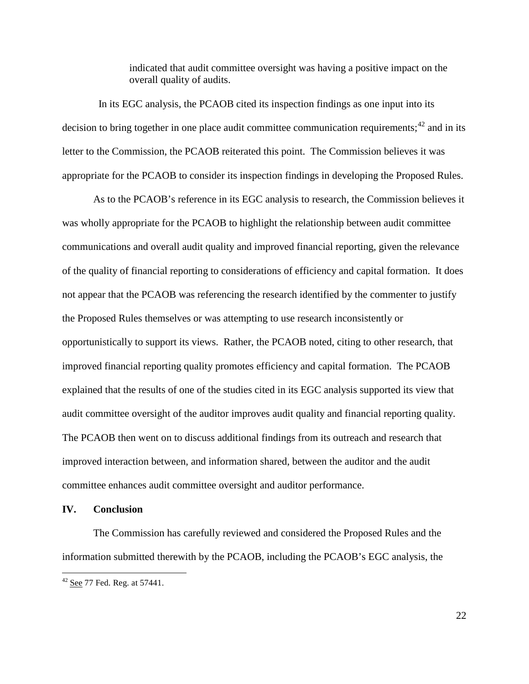indicated that audit committee oversight was having a positive impact on the overall quality of audits.

In its EGC analysis, the PCAOB cited its inspection findings as one input into its decision to bring together in one place audit committee communication requirements;<sup>[42](#page-21-0)</sup> and in its letter to the Commission, the PCAOB reiterated this point. The Commission believes it was appropriate for the PCAOB to consider its inspection findings in developing the Proposed Rules.

As to the PCAOB's reference in its EGC analysis to research, the Commission believes it was wholly appropriate for the PCAOB to highlight the relationship between audit committee communications and overall audit quality and improved financial reporting, given the relevance of the quality of financial reporting to considerations of efficiency and capital formation. It does not appear that the PCAOB was referencing the research identified by the commenter to justify the Proposed Rules themselves or was attempting to use research inconsistently or opportunistically to support its views. Rather, the PCAOB noted, citing to other research, that improved financial reporting quality promotes efficiency and capital formation. The PCAOB explained that the results of one of the studies cited in its EGC analysis supported its view that audit committee oversight of the auditor improves audit quality and financial reporting quality. The PCAOB then went on to discuss additional findings from its outreach and research that improved interaction between, and information shared, between the auditor and the audit committee enhances audit committee oversight and auditor performance.

### **IV. Conclusion**

The Commission has carefully reviewed and considered the Proposed Rules and the information submitted therewith by the PCAOB, including the PCAOB's EGC analysis, the

<span id="page-21-0"></span> $42$  See 77 Fed. Reg. at 57441.